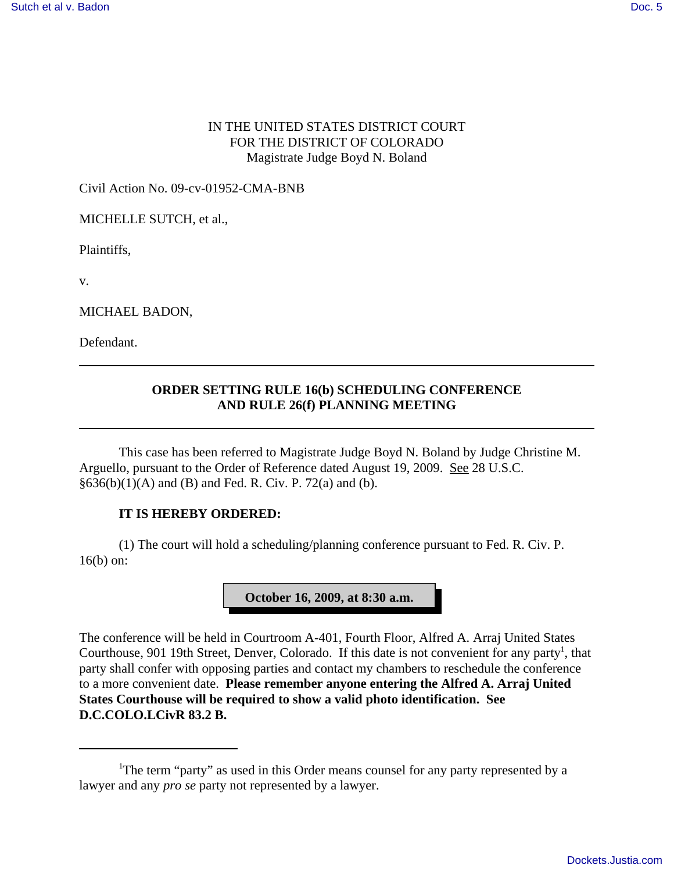## IN THE UNITED STATES DISTRICT COURT FOR THE DISTRICT OF COLORADO Magistrate Judge Boyd N. Boland

Civil Action No. 09-cv-01952-CMA-BNB

MICHELLE SUTCH, et al.,

Plaintiffs,

v.

MICHAEL BADON,

Defendant.

## **ORDER SETTING RULE 16(b) SCHEDULING CONFERENCE AND RULE 26(f) PLANNING MEETING**

This case has been referred to Magistrate Judge Boyd N. Boland by Judge Christine M. Arguello, pursuant to the Order of Reference dated August 19, 2009. See 28 U.S.C.  $§636(b)(1)(A)$  and (B) and Fed. R. Civ. P. 72(a) and (b).

## **IT IS HEREBY ORDERED:**

(1) The court will hold a scheduling/planning conference pursuant to Fed. R. Civ. P. 16(b) on:



The conference will be held in Courtroom A-401, Fourth Floor, Alfred A. Arraj United States Courthouse, 901 19th Street, Denver, Colorado. If this date is not convenient for any party<sup>1</sup>, that party shall confer with opposing parties and contact my chambers to reschedule the conference to a more convenient date. **Please remember anyone entering the Alfred A. Arraj United States Courthouse will be required to show a valid photo identification. See D.C.COLO.LCivR 83.2 B.**

<sup>&</sup>lt;sup>1</sup>The term "party" as used in this Order means counsel for any party represented by a lawyer and any *pro se* party not represented by a lawyer.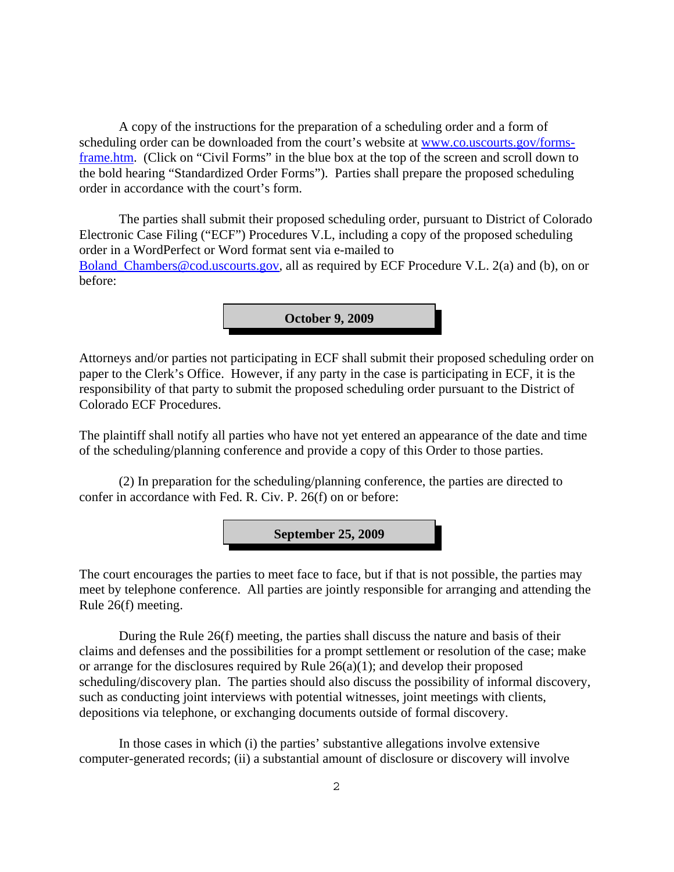A copy of the instructions for the preparation of a scheduling order and a form of scheduling order can be downloaded from the court's website at www.co.uscourts.gov/formsframe.htm. (Click on "Civil Forms" in the blue box at the top of the screen and scroll down to the bold hearing "Standardized Order Forms"). Parties shall prepare the proposed scheduling order in accordance with the court's form.

The parties shall submit their proposed scheduling order, pursuant to District of Colorado Electronic Case Filing ("ECF") Procedures V.L, including a copy of the proposed scheduling order in a WordPerfect or Word format sent via e-mailed to Boland Chambers@cod.uscourts.gov, all as required by ECF Procedure V.L. 2(a) and (b), on or before:

**October 9, 2009**

Attorneys and/or parties not participating in ECF shall submit their proposed scheduling order on paper to the Clerk's Office. However, if any party in the case is participating in ECF, it is the responsibility of that party to submit the proposed scheduling order pursuant to the District of Colorado ECF Procedures.

The plaintiff shall notify all parties who have not yet entered an appearance of the date and time of the scheduling/planning conference and provide a copy of this Order to those parties.

(2) In preparation for the scheduling/planning conference, the parties are directed to confer in accordance with Fed. R. Civ. P. 26(f) on or before:

**September 25, 2009**

The court encourages the parties to meet face to face, but if that is not possible, the parties may meet by telephone conference. All parties are jointly responsible for arranging and attending the Rule 26(f) meeting.

During the Rule 26(f) meeting, the parties shall discuss the nature and basis of their claims and defenses and the possibilities for a prompt settlement or resolution of the case; make or arrange for the disclosures required by Rule 26(a)(1); and develop their proposed scheduling/discovery plan. The parties should also discuss the possibility of informal discovery, such as conducting joint interviews with potential witnesses, joint meetings with clients, depositions via telephone, or exchanging documents outside of formal discovery.

In those cases in which (i) the parties' substantive allegations involve extensive computer-generated records; (ii) a substantial amount of disclosure or discovery will involve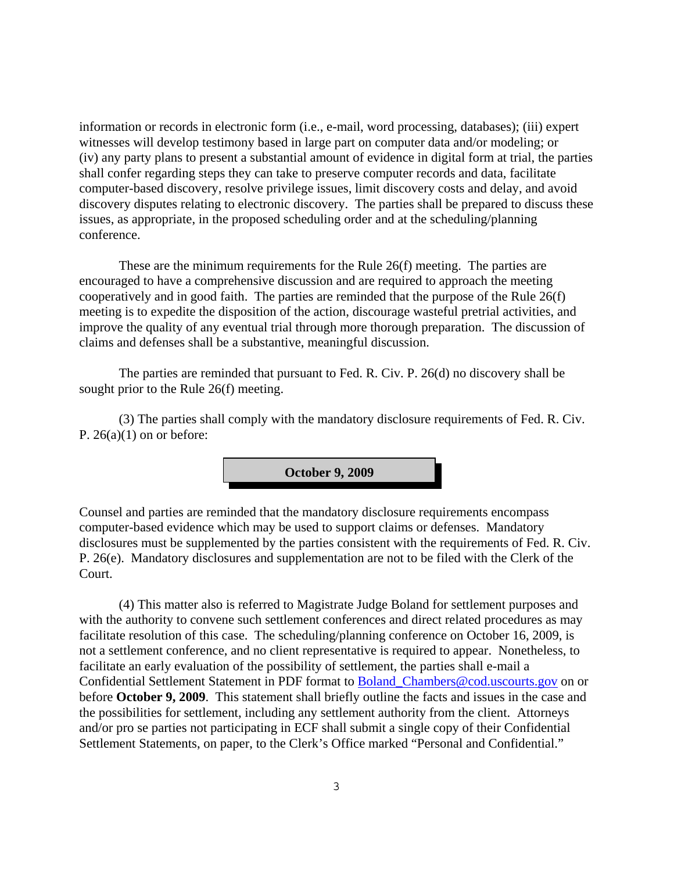information or records in electronic form (i.e., e-mail, word processing, databases); (iii) expert witnesses will develop testimony based in large part on computer data and/or modeling; or (iv) any party plans to present a substantial amount of evidence in digital form at trial, the parties shall confer regarding steps they can take to preserve computer records and data, facilitate computer-based discovery, resolve privilege issues, limit discovery costs and delay, and avoid discovery disputes relating to electronic discovery. The parties shall be prepared to discuss these issues, as appropriate, in the proposed scheduling order and at the scheduling/planning conference.

These are the minimum requirements for the Rule 26(f) meeting. The parties are encouraged to have a comprehensive discussion and are required to approach the meeting cooperatively and in good faith. The parties are reminded that the purpose of the Rule 26(f) meeting is to expedite the disposition of the action, discourage wasteful pretrial activities, and improve the quality of any eventual trial through more thorough preparation. The discussion of claims and defenses shall be a substantive, meaningful discussion.

The parties are reminded that pursuant to Fed. R. Civ. P. 26(d) no discovery shall be sought prior to the Rule 26(f) meeting.

(3) The parties shall comply with the mandatory disclosure requirements of Fed. R. Civ. P.  $26(a)(1)$  on or before:



Counsel and parties are reminded that the mandatory disclosure requirements encompass computer-based evidence which may be used to support claims or defenses. Mandatory disclosures must be supplemented by the parties consistent with the requirements of Fed. R. Civ. P. 26(e). Mandatory disclosures and supplementation are not to be filed with the Clerk of the Court.

(4) This matter also is referred to Magistrate Judge Boland for settlement purposes and with the authority to convene such settlement conferences and direct related procedures as may facilitate resolution of this case. The scheduling/planning conference on October 16, 2009, is not a settlement conference, and no client representative is required to appear. Nonetheless, to facilitate an early evaluation of the possibility of settlement, the parties shall e-mail a Confidential Settlement Statement in PDF format to Boland\_Chambers@cod.uscourts.gov on or before **October 9, 2009**. This statement shall briefly outline the facts and issues in the case and the possibilities for settlement, including any settlement authority from the client. Attorneys and/or pro se parties not participating in ECF shall submit a single copy of their Confidential Settlement Statements, on paper, to the Clerk's Office marked "Personal and Confidential."